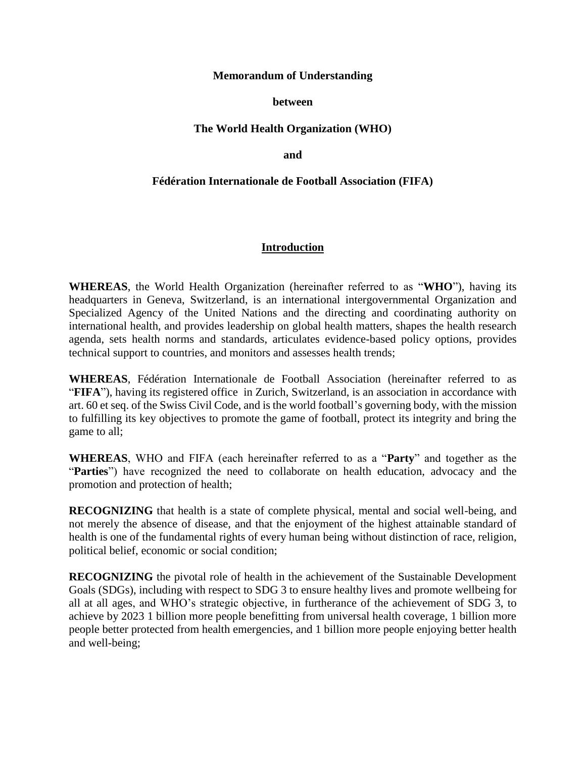#### **Memorandum of Understanding**

#### **between**

### **The World Health Organization (WHO)**

**and**

#### **Fédération Internationale de Football Association (FIFA)**

### **Introduction**

**WHEREAS**, the World Health Organization (hereinafter referred to as "**WHO**"), having its headquarters in Geneva, Switzerland, is an international intergovernmental Organization and Specialized Agency of the United Nations and the directing and coordinating authority on international health, and provides leadership on global health matters, shapes the health research agenda, sets health norms and standards, articulates evidence-based policy options, provides technical support to countries, and monitors and assesses health trends;

**WHEREAS**, Fédération Internationale de Football Association (hereinafter referred to as "**FIFA**"), having its registered office in Zurich, Switzerland, is an association in accordance with art. 60 et seq. of the Swiss Civil Code, and is the world football's governing body, with the mission to fulfilling its key objectives to promote the game of football, protect its integrity and bring the game to all;

**WHEREAS**, WHO and FIFA (each hereinafter referred to as a "**Party**" and together as the "**Parties**") have recognized the need to collaborate on health education, advocacy and the promotion and protection of health;

**RECOGNIZING** that health is a state of complete physical, mental and social well-being, and not merely the absence of disease, and that the enjoyment of the highest attainable standard of health is one of the fundamental rights of every human being without distinction of race, religion, political belief, economic or social condition;

**RECOGNIZING** the pivotal role of health in the achievement of the Sustainable Development Goals (SDGs), including with respect to SDG 3 to ensure healthy lives and promote wellbeing for all at all ages, and WHO's strategic objective, in furtherance of the achievement of SDG 3, to achieve by 2023 1 billion more people benefitting from universal health coverage, 1 billion more people better protected from health emergencies, and 1 billion more people enjoying better health and well-being;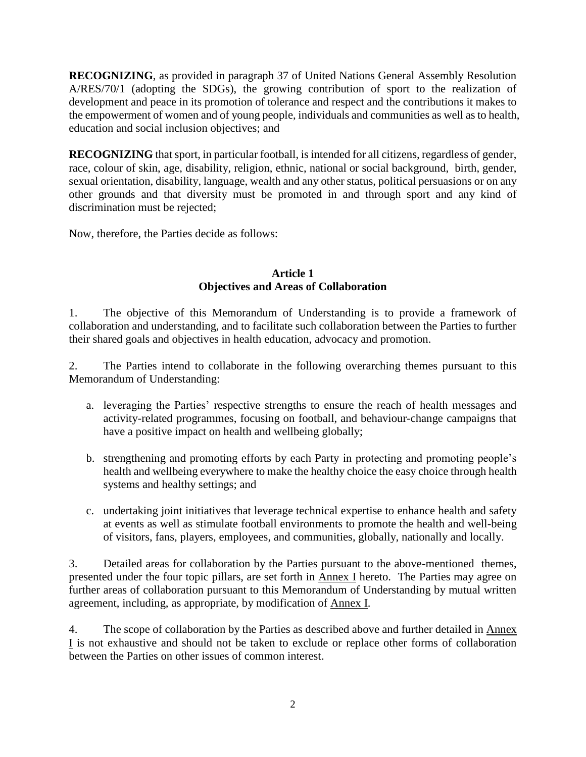**RECOGNIZING**, as provided in paragraph 37 of United Nations General Assembly Resolution A/RES/70/1 (adopting the SDGs), the growing contribution of sport to the realization of development and peace in its promotion of tolerance and respect and the contributions it makes to the empowerment of women and of young people, individuals and communities as well as to health, education and social inclusion objectives; and

**RECOGNIZING** that sport, in particular football, is intended for all citizens, regardless of gender, race, colour of skin, age, disability, religion, ethnic, national or social background, birth, gender, sexual orientation, disability, language, wealth and any other status, political persuasions or on any other grounds and that diversity must be promoted in and through sport and any kind of discrimination must be rejected;

Now, therefore, the Parties decide as follows:

### **Article 1 Objectives and Areas of Collaboration**

1. The objective of this Memorandum of Understanding is to provide a framework of collaboration and understanding, and to facilitate such collaboration between the Parties to further their shared goals and objectives in health education, advocacy and promotion.

2. The Parties intend to collaborate in the following overarching themes pursuant to this Memorandum of Understanding:

- a. leveraging the Parties' respective strengths to ensure the reach of health messages and activity-related programmes, focusing on football, and behaviour-change campaigns that have a positive impact on health and wellbeing globally;
- b. strengthening and promoting efforts by each Party in protecting and promoting people's health and wellbeing everywhere to make the healthy choice the easy choice through health systems and healthy settings; and
- c. undertaking joint initiatives that leverage technical expertise to enhance health and safety at events as well as stimulate football environments to promote the health and well-being of visitors, fans, players, employees, and communities, globally, nationally and locally.

3. Detailed areas for collaboration by the Parties pursuant to the above-mentioned themes, presented under the four topic pillars, are set forth in Annex I hereto. The Parties may agree on further areas of collaboration pursuant to this Memorandum of Understanding by mutual written agreement, including, as appropriate, by modification of Annex I.

4. The scope of collaboration by the Parties as described above and further detailed in Annex I is not exhaustive and should not be taken to exclude or replace other forms of collaboration between the Parties on other issues of common interest.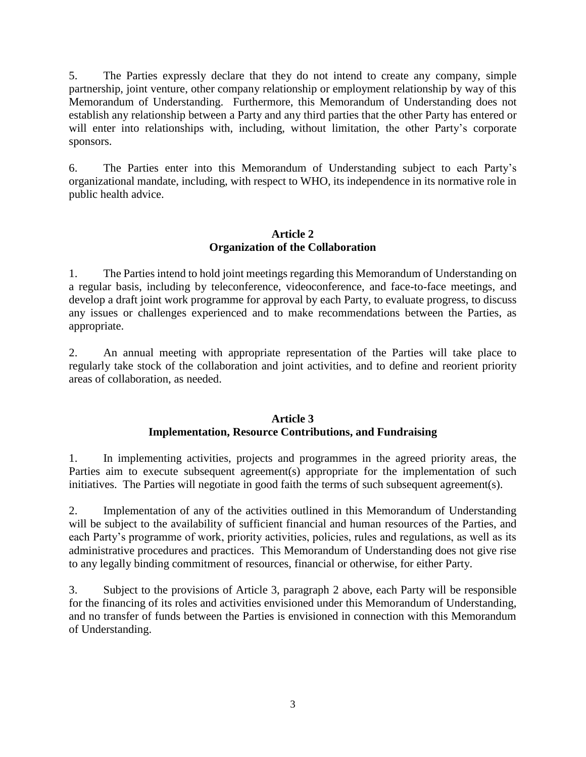5. The Parties expressly declare that they do not intend to create any company, simple partnership, joint venture, other company relationship or employment relationship by way of this Memorandum of Understanding. Furthermore, this Memorandum of Understanding does not establish any relationship between a Party and any third parties that the other Party has entered or will enter into relationships with, including, without limitation, the other Party's corporate sponsors.

6. The Parties enter into this Memorandum of Understanding subject to each Party's organizational mandate, including, with respect to WHO, its independence in its normative role in public health advice.

# **Article 2 Organization of the Collaboration**

1. The Parties intend to hold joint meetings regarding this Memorandum of Understanding on a regular basis, including by teleconference, videoconference, and face-to-face meetings, and develop a draft joint work programme for approval by each Party, to evaluate progress, to discuss any issues or challenges experienced and to make recommendations between the Parties, as appropriate.

2. An annual meeting with appropriate representation of the Parties will take place to regularly take stock of the collaboration and joint activities, and to define and reorient priority areas of collaboration, as needed.

# **Article 3 Implementation, Resource Contributions, and Fundraising**

1. In implementing activities, projects and programmes in the agreed priority areas, the Parties aim to execute subsequent agreement(s) appropriate for the implementation of such initiatives. The Parties will negotiate in good faith the terms of such subsequent agreement(s).

2. Implementation of any of the activities outlined in this Memorandum of Understanding will be subject to the availability of sufficient financial and human resources of the Parties, and each Party's programme of work, priority activities, policies, rules and regulations, as well as its administrative procedures and practices. This Memorandum of Understanding does not give rise to any legally binding commitment of resources, financial or otherwise, for either Party.

3. Subject to the provisions of Article 3, paragraph 2 above, each Party will be responsible for the financing of its roles and activities envisioned under this Memorandum of Understanding, and no transfer of funds between the Parties is envisioned in connection with this Memorandum of Understanding.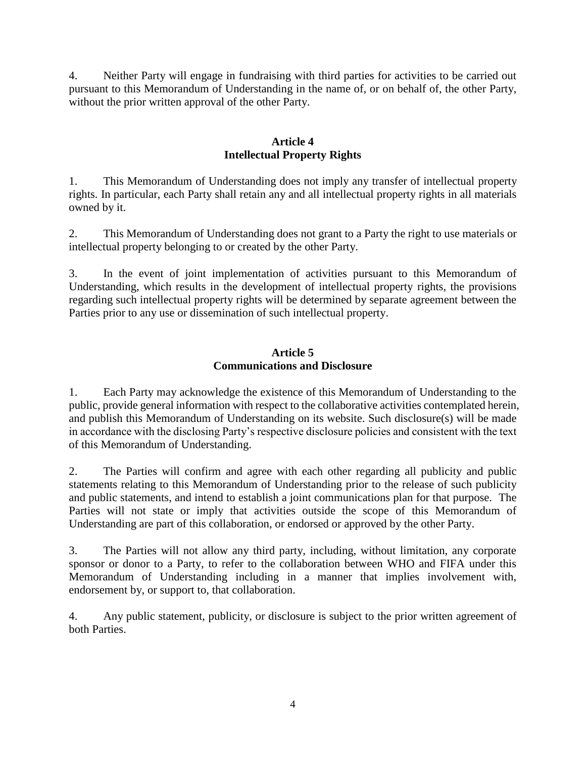4. Neither Party will engage in fundraising with third parties for activities to be carried out pursuant to this Memorandum of Understanding in the name of, or on behalf of, the other Party, without the prior written approval of the other Party.

## **Article 4 Intellectual Property Rights**

1. This Memorandum of Understanding does not imply any transfer of intellectual property rights. In particular, each Party shall retain any and all intellectual property rights in all materials owned by it.

2. This Memorandum of Understanding does not grant to a Party the right to use materials or intellectual property belonging to or created by the other Party.

3. In the event of joint implementation of activities pursuant to this Memorandum of Understanding, which results in the development of intellectual property rights, the provisions regarding such intellectual property rights will be determined by separate agreement between the Parties prior to any use or dissemination of such intellectual property.

### **Article 5 Communications and Disclosure**

1. Each Party may acknowledge the existence of this Memorandum of Understanding to the public, provide general information with respect to the collaborative activities contemplated herein, and publish this Memorandum of Understanding on its website. Such disclosure(s) will be made in accordance with the disclosing Party's respective disclosure policies and consistent with the text of this Memorandum of Understanding.

2. The Parties will confirm and agree with each other regarding all publicity and public statements relating to this Memorandum of Understanding prior to the release of such publicity and public statements, and intend to establish a joint communications plan for that purpose. The Parties will not state or imply that activities outside the scope of this Memorandum of Understanding are part of this collaboration, or endorsed or approved by the other Party.

3. The Parties will not allow any third party, including, without limitation, any corporate sponsor or donor to a Party, to refer to the collaboration between WHO and FIFA under this Memorandum of Understanding including in a manner that implies involvement with, endorsement by, or support to, that collaboration.

4. Any public statement, publicity, or disclosure is subject to the prior written agreement of both Parties.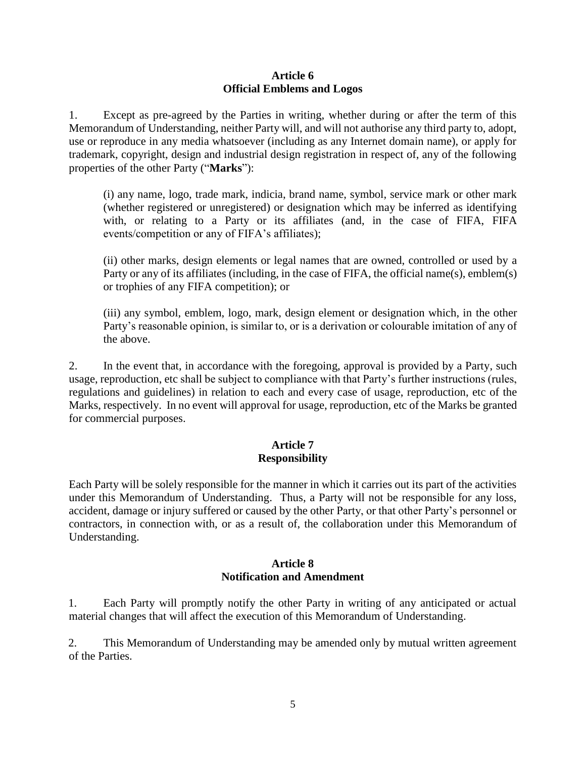#### **Article 6 Official Emblems and Logos**

1. Except as pre-agreed by the Parties in writing, whether during or after the term of this Memorandum of Understanding, neither Party will, and will not authorise any third party to, adopt, use or reproduce in any media whatsoever (including as any Internet domain name), or apply for trademark, copyright, design and industrial design registration in respect of, any of the following properties of the other Party ("**Marks**"):

(i) any name, logo, trade mark, indicia, brand name, symbol, service mark or other mark (whether registered or unregistered) or designation which may be inferred as identifying with, or relating to a Party or its affiliates (and, in the case of FIFA, FIFA events/competition or any of FIFA's affiliates);

(ii) other marks, design elements or legal names that are owned, controlled or used by a Party or any of its affiliates (including, in the case of FIFA, the official name(s), emblem(s) or trophies of any FIFA competition); or

(iii) any symbol, emblem, logo, mark, design element or designation which, in the other Party's reasonable opinion, is similar to, or is a derivation or colourable imitation of any of the above.

2. In the event that, in accordance with the foregoing, approval is provided by a Party, such usage, reproduction, etc shall be subject to compliance with that Party's further instructions (rules, regulations and guidelines) in relation to each and every case of usage, reproduction, etc of the Marks, respectively. In no event will approval for usage, reproduction, etc of the Marks be granted for commercial purposes.

# **Article 7 Responsibility**

Each Party will be solely responsible for the manner in which it carries out its part of the activities under this Memorandum of Understanding. Thus, a Party will not be responsible for any loss, accident, damage or injury suffered or caused by the other Party, or that other Party's personnel or contractors, in connection with, or as a result of, the collaboration under this Memorandum of Understanding.

## **Article 8 Notification and Amendment**

1. Each Party will promptly notify the other Party in writing of any anticipated or actual material changes that will affect the execution of this Memorandum of Understanding.

2. This Memorandum of Understanding may be amended only by mutual written agreement of the Parties.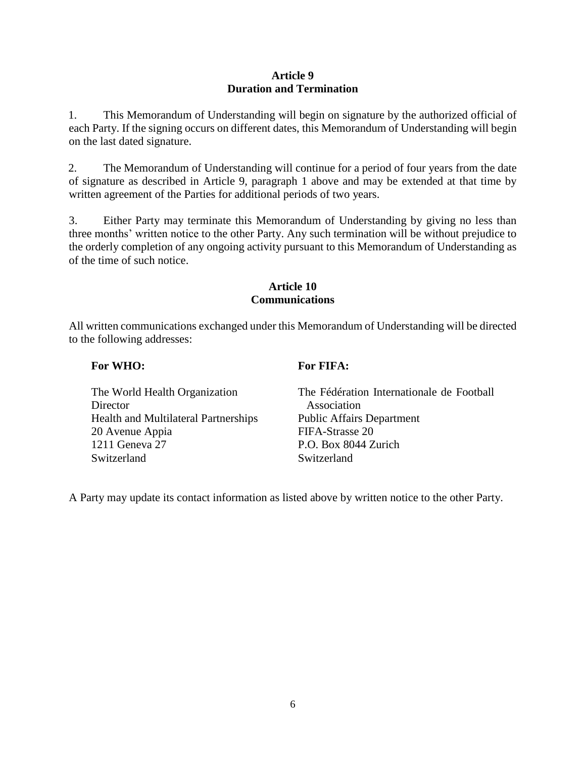### **Article 9 Duration and Termination**

1. This Memorandum of Understanding will begin on signature by the authorized official of each Party. If the signing occurs on different dates, this Memorandum of Understanding will begin on the last dated signature.

2. The Memorandum of Understanding will continue for a period of four years from the date of signature as described in Article 9, paragraph 1 above and may be extended at that time by written agreement of the Parties for additional periods of two years.

3. Either Party may terminate this Memorandum of Understanding by giving no less than three months' written notice to the other Party. Any such termination will be without prejudice to the orderly completion of any ongoing activity pursuant to this Memorandum of Understanding as of the time of such notice.

## **Article 10 Communications**

All written communications exchanged under this Memorandum of Understanding will be directed to the following addresses:

# **For WHO:**

# **For FIFA:**

| The World Health Organization               | The Fédération Internationale de Football |
|---------------------------------------------|-------------------------------------------|
| Director                                    | Association                               |
| <b>Health and Multilateral Partnerships</b> | <b>Public Affairs Department</b>          |
| 20 Avenue Appia                             | FIFA-Strasse 20                           |
| 1211 Geneva 27                              | P.O. Box 8044 Zurich                      |
| Switzerland                                 | Switzerland                               |

A Party may update its contact information as listed above by written notice to the other Party.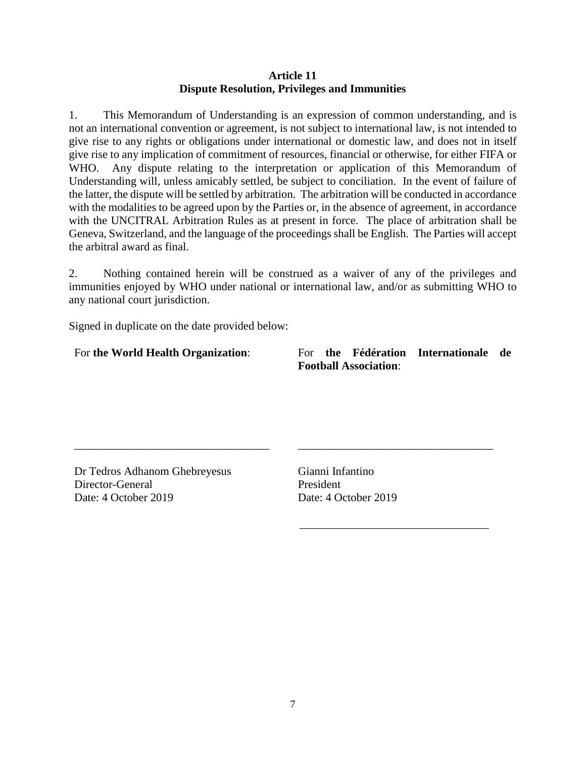#### **Article 11 Dispute Resolution, Privileges and Immunities**

1. This Memorandum of Understanding is an expression of common understanding, and is not an international convention or agreement, is not subject to international law, is not intended to give rise to any rights or obligations under international or domestic law, and does not in itself give rise to any implication of commitment of resources, financial or otherwise, for either FIFA or WHO. Any dispute relating to the interpretation or application of this Memorandum of Understanding will, unless amicably settled, be subject to conciliation. In the event of failure of the latter, the dispute will be settled by arbitration. The arbitration will be conducted in accordance with the modalities to be agreed upon by the Parties or, in the absence of agreement, in accordance with the UNCITRAL Arbitration Rules as at present in force. The place of arbitration shall be Geneva, Switzerland, and the language of the proceedings shall be English. The Parties will accept the arbitral award as final.

2. Nothing contained herein will be construed as a waiver of any of the privileges and immunities enjoyed by WHO under national or international law, and/or as submitting WHO to any national court jurisdiction.

Signed in duplicate on the date provided below:

## For **the World Health Organization**:

For **the Fédération Internationale de Football Association**:

\_\_\_\_\_\_\_\_\_\_\_\_\_\_\_\_\_\_\_\_\_\_\_\_\_\_\_\_\_\_\_\_\_\_

\_\_\_\_\_\_\_\_\_\_\_\_\_\_\_\_\_\_\_\_\_\_\_\_\_\_\_\_\_\_\_\_\_

Dr Tedros Adhanom Ghebreyesus Director-General Date: 4 October 2019

\_\_\_\_\_\_\_\_\_\_\_\_\_\_\_\_\_\_\_\_\_\_\_\_\_\_\_\_\_\_\_\_\_\_

Gianni Infantino President Date: 4 October 2019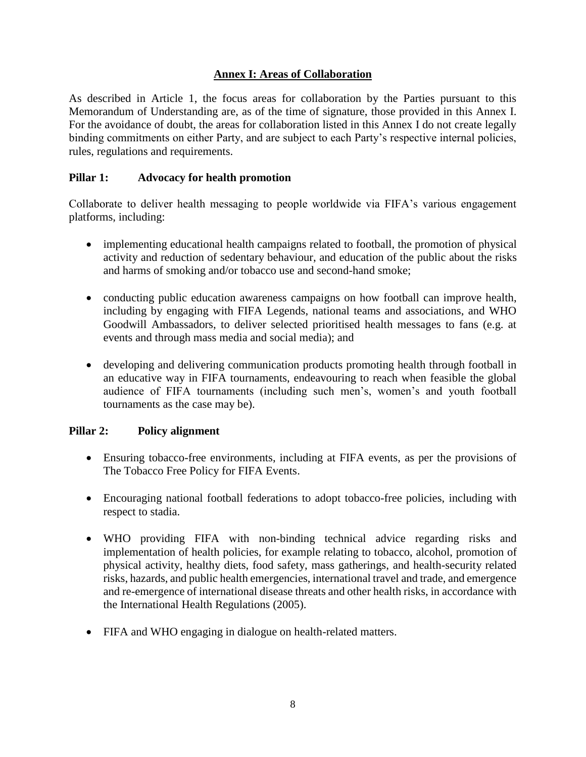## **Annex I: Areas of Collaboration**

As described in Article 1, the focus areas for collaboration by the Parties pursuant to this Memorandum of Understanding are, as of the time of signature, those provided in this Annex I. For the avoidance of doubt, the areas for collaboration listed in this Annex I do not create legally binding commitments on either Party, and are subject to each Party's respective internal policies, rules, regulations and requirements.

### **Pillar 1: Advocacy for health promotion**

Collaborate to deliver health messaging to people worldwide via FIFA's various engagement platforms, including:

- implementing educational health campaigns related to football, the promotion of physical activity and reduction of sedentary behaviour, and education of the public about the risks and harms of smoking and/or tobacco use and second-hand smoke;
- conducting public education awareness campaigns on how football can improve health, including by engaging with FIFA Legends, national teams and associations, and WHO Goodwill Ambassadors, to deliver selected prioritised health messages to fans (e.g. at events and through mass media and social media); and
- developing and delivering communication products promoting health through football in an educative way in FIFA tournaments, endeavouring to reach when feasible the global audience of FIFA tournaments (including such men's, women's and youth football tournaments as the case may be).

### **Pillar 2: Policy alignment**

- Ensuring tobacco-free environments, including at FIFA events, as per the provisions of The Tobacco Free Policy for FIFA Events.
- Encouraging national football federations to adopt tobacco-free policies, including with respect to stadia.
- WHO providing FIFA with non-binding technical advice regarding risks and implementation of health policies, for example relating to tobacco, alcohol, promotion of physical activity, healthy diets, food safety, mass gatherings, and health-security related risks, hazards, and public health emergencies, international travel and trade, and emergence and re-emergence of international disease threats and other health risks, in accordance with the International Health Regulations (2005).
- FIFA and WHO engaging in dialogue on health-related matters.